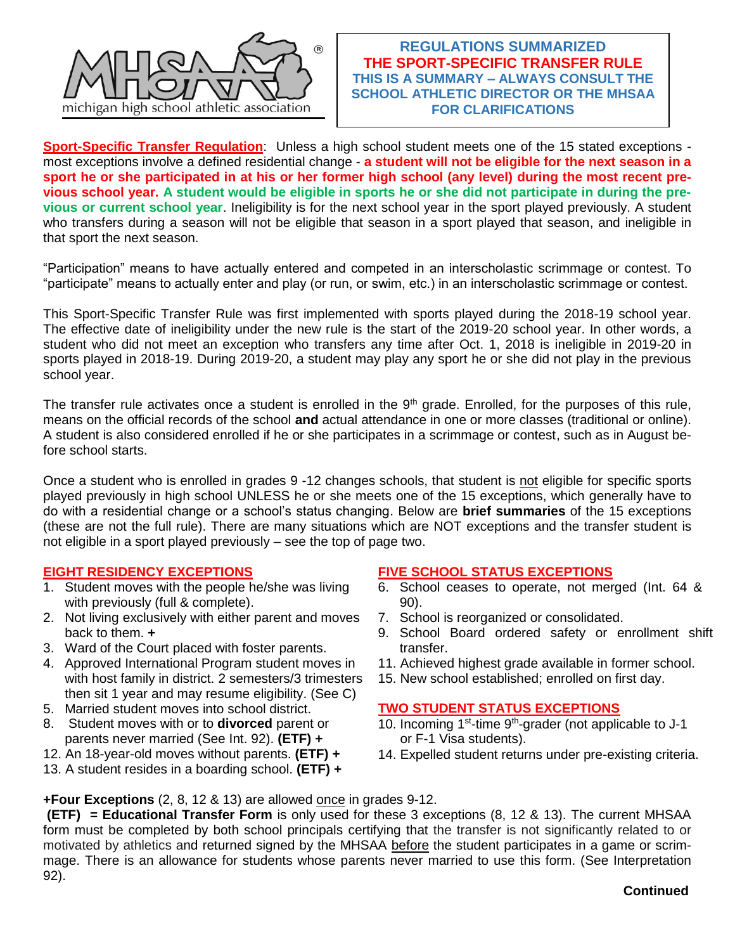

**REGULATIONS SUMMARIZED THE SPORT-SPECIFIC TRANSFER RULE THIS IS A SUMMARY – ALWAYS CONSULT THE SCHOOL ATHLETIC DIRECTOR OR THE MHSAA FOR CLARIFICATIONS**

**Sport-Specific Transfer Regulation**: Unless a high school student meets one of the 15 stated exceptions most exceptions involve a defined residential change - **a student will not be eligible for the next season in a sport he or she participated in at his or her former high school (any level) during the most recent previous school year. A student would be eligible in sports he or she did not participate in during the previous or current school year**. Ineligibility is for the next school year in the sport played previously. A student who transfers during a season will not be eligible that season in a sport played that season, and ineligible in that sport the next season.

"Participation" means to have actually entered and competed in an interscholastic scrimmage or contest. To "participate" means to actually enter and play (or run, or swim, etc.) in an interscholastic scrimmage or contest.

This Sport-Specific Transfer Rule was first implemented with sports played during the 2018-19 school year. The effective date of ineligibility under the new rule is the start of the 2019-20 school year. In other words, a student who did not meet an exception who transfers any time after Oct. 1, 2018 is ineligible in 2019-20 in sports played in 2018-19. During 2019-20, a student may play any sport he or she did not play in the previous school year.

The transfer rule activates once a student is enrolled in the  $9<sup>th</sup>$  grade. Enrolled, for the purposes of this rule, means on the official records of the school **and** actual attendance in one or more classes (traditional or online). A student is also considered enrolled if he or she participates in a scrimmage or contest, such as in August before school starts.

Once a student who is enrolled in grades 9 -12 changes schools, that student is not eligible for specific sports played previously in high school UNLESS he or she meets one of the 15 exceptions, which generally have to do with a residential change or a school's status changing. Below are **brief summaries** of the 15 exceptions (these are not the full rule). There are many situations which are NOT exceptions and the transfer student is not eligible in a sport played previously – see the top of page two.

## **EIGHT RESIDENCY EXCEPTIONS**

- 1. Student moves with the people he/she was living with previously (full & complete).
- 2. Not living exclusively with either parent and moves back to them. **+**
- 3. Ward of the Court placed with foster parents.
- 4. Approved International Program student moves in with host family in district. 2 semesters/3 trimesters then sit 1 year and may resume eligibility. (See C)
- 5. Married student moves into school district.
- 8. Student moves with or to **divorced** parent or parents never married (See Int. 92). **(ETF) +**
- 12. An 18-year-old moves without parents. **(ETF) +**
- 13. A student resides in a boarding school. **(ETF) +**

#### **FIVE SCHOOL STATUS EXCEPTIONS**

- 6. School ceases to operate, not merged (Int. 64 & 90).
- 7. School is reorganized or consolidated.
- 9. School Board ordered safety or enrollment shift transfer.
- 11. Achieved highest grade available in former school.
- 15. New school established; enrolled on first day.

# **TWO STUDENT STATUS EXCEPTIONS**

- 10. Incoming  $1^{st}$ -time  $9^{th}$ -grader (not applicable to J-1 or F-1 Visa students).
- 14. Expelled student returns under pre-existing criteria.

## **+Four Exceptions** (2, 8, 12 & 13) are allowed once in grades 9-12.

**(ETF) = Educational Transfer Form** is only used for these 3 exceptions (8, 12 & 13). The current MHSAA form must be completed by both school principals certifying that the transfer is not significantly related to or motivated by athletics and returned signed by the MHSAA before the student participates in a game or scrimmage. There is an allowance for students whose parents never married to use this form. (See Interpretation 92).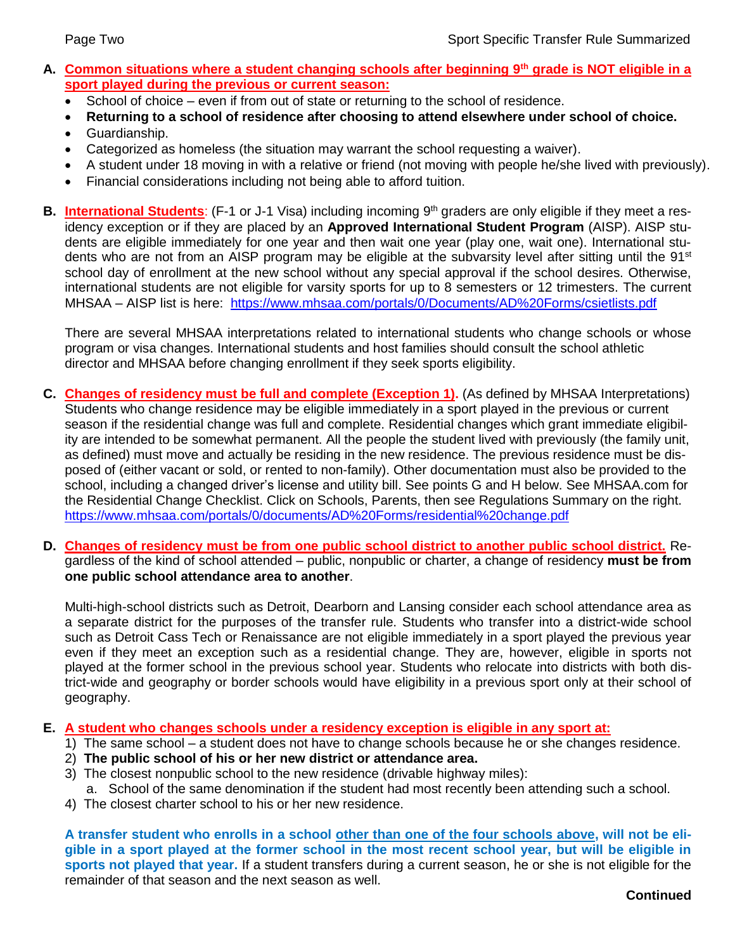- **A. Common situations where a student changing schools after beginning 9th grade is NOT eligible in a sport played during the previous or current season:**
	- School of choice even if from out of state or returning to the school of residence.
	- **Returning to a school of residence after choosing to attend elsewhere under school of choice.**
	- Guardianship.
	- Categorized as homeless (the situation may warrant the school requesting a waiver).
	- A student under 18 moving in with a relative or friend (not moving with people he/she lived with previously).
	- Financial considerations including not being able to afford tuition.
- **B.** International Students: (F-1 or J-1 Visa) including incoming 9<sup>th</sup> graders are only eligible if they meet a residency exception or if they are placed by an **Approved International Student Program** (AISP). AISP students are eligible immediately for one year and then wait one year (play one, wait one). International students who are not from an AISP program may be eligible at the subvarsity level after sitting until the 91<sup>st</sup> school day of enrollment at the new school without any special approval if the school desires. Otherwise, international students are not eligible for varsity sports for up to 8 semesters or 12 trimesters. The current MHSAA – AISP list is here: <https://www.mhsaa.com/portals/0/Documents/AD%20Forms/csietlists.pdf>

There are several MHSAA interpretations related to international students who change schools or whose program or visa changes. International students and host families should consult the school athletic director and MHSAA before changing enrollment if they seek sports eligibility.

- **C. Changes of residency must be full and complete (Exception 1).** (As defined by MHSAA Interpretations) Students who change residence may be eligible immediately in a sport played in the previous or current season if the residential change was full and complete. Residential changes which grant immediate eligibility are intended to be somewhat permanent. All the people the student lived with previously (the family unit, as defined) must move and actually be residing in the new residence. The previous residence must be disposed of (either vacant or sold, or rented to non-family). Other documentation must also be provided to the school, including a changed driver's license and utility bill. See points G and H below. See MHSAA.com for the Residential Change Checklist. Click on Schools, Parents, then see Regulations Summary on the right. <https://www.mhsaa.com/portals/0/documents/AD%20Forms/residential%20change.pdf>
- **D. Changes of residency must be from one public school district to another public school district.** Regardless of the kind of school attended – public, nonpublic or charter, a change of residency **must be from one public school attendance area to another**.

Multi-high-school districts such as Detroit, Dearborn and Lansing consider each school attendance area as a separate district for the purposes of the transfer rule. Students who transfer into a district-wide school such as Detroit Cass Tech or Renaissance are not eligible immediately in a sport played the previous year even if they meet an exception such as a residential change. They are, however, eligible in sports not played at the former school in the previous school year. Students who relocate into districts with both district-wide and geography or border schools would have eligibility in a previous sport only at their school of geography.

## **E. A student who changes schools under a residency exception is eligible in any sport at:**

- 1) The same school a student does not have to change schools because he or she changes residence.
- 2) **The public school of his or her new district or attendance area.**
- 3) The closest nonpublic school to the new residence (drivable highway miles):
- a. School of the same denomination if the student had most recently been attending such a school.
- 4) The closest charter school to his or her new residence.

**A transfer student who enrolls in a school other than one of the four schools above, will not be eligible in a sport played at the former school in the most recent school year, but will be eligible in sports not played that year.** If a student transfers during a current season, he or she is not eligible for the remainder of that season and the next season as well.